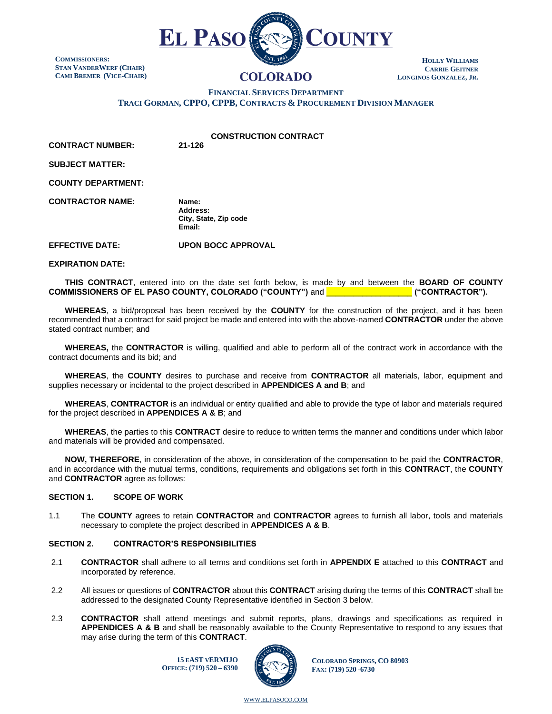

**COMMISSIONERS: STAN VANDERWERF (CHAIR) CAMI BREMER (VICE-CHAIR)**

# **COLORADO**

**HOLLY WILLIAMS CARRIE GEITNER LONGINOS GONZALEZ, JR.**

**FINANCIAL SERVICES DEPARTMENT**

**TRACI GORMAN, CPPO, CPPB, CONTRACTS & PROCUREMENT DIVISION MANAGER**

**CONSTRUCTION CONTRACT**

**CONTRACT NUMBER: 21-126**

**SUBJECT MATTER:**

**COUNTY DEPARTMENT:**

**CONTRACTOR NAME: Name:**

**Address: City, State, Zip code Email:**

**EFFECTIVE DATE: UPON BOCC APPROVAL**

**EXPIRATION DATE:**

**THIS CONTRACT**, entered into on the date set forth below, is made by and between the **BOARD OF COUNTY COMMISSIONERS OF EL PASO COUNTY, COLORADO ("COUNTY")** and \_\_\_\_\_\_\_\_\_\_\_\_\_\_\_\_\_\_\_ **("CONTRACTOR").**

**WHEREAS**, a bid/proposal has been received by the **COUNTY** for the construction of the project, and it has been recommended that a contract for said project be made and entered into with the above-named **CONTRACTOR** under the above stated contract number; and

**WHEREAS,** the **CONTRACTOR** is willing, qualified and able to perform all of the contract work in accordance with the contract documents and its bid; and

**WHEREAS**, the **COUNTY** desires to purchase and receive from **CONTRACTOR** all materials, labor, equipment and supplies necessary or incidental to the project described in **APPENDICES A and B**; and

**WHEREAS**, **CONTRACTOR** is an individual or entity qualified and able to provide the type of labor and materials required for the project described in **APPENDICES A & B**; and

**WHEREAS**, the parties to this **CONTRACT** desire to reduce to written terms the manner and conditions under which labor and materials will be provided and compensated.

**NOW, THEREFORE**, in consideration of the above, in consideration of the compensation to be paid the **CONTRACTOR**, and in accordance with the mutual terms, conditions, requirements and obligations set forth in this **CONTRACT**, the **COUNTY** and **CONTRACTOR** agree as follows:

# **SECTION 1. SCOPE OF WORK**

1.1 The **COUNTY** agrees to retain **CONTRACTOR** and **CONTRACTOR** agrees to furnish all labor, tools and materials necessary to complete the project described in **APPENDICES A & B**.

# **SECTION 2. CONTRACTOR'S RESPONSIBILITIES**

- 2.1 **CONTRACTOR** shall adhere to all terms and conditions set forth in **APPENDIX E** attached to this **CONTRACT** and incorporated by reference.
- 2.2 All issues or questions of **CONTRACTOR** about this **CONTRACT** arising during the terms of this **CONTRACT** shall be addressed to the designated County Representative identified in Section 3 below.
- 2.3 **CONTRACTOR** shall attend meetings and submit reports, plans, drawings and specifications as required in **APPENDICES A & B** and shall be reasonably available to the County Representative to respond to any issues that may arise during the term of this **CONTRACT**.

**15 EAST VERMIJO OFFICE: (719) 520 – 6390**



**COLORADO SPRINGS, CO 80903 FAX: (719) 520 -6730**

WWW.[ELPASOCO](file:///C:/Users/pcdfields/AppData/Local/Microsoft/Windows/INetCache/Content.Outlook/OA1LDP44/www.elpasoco.com).COM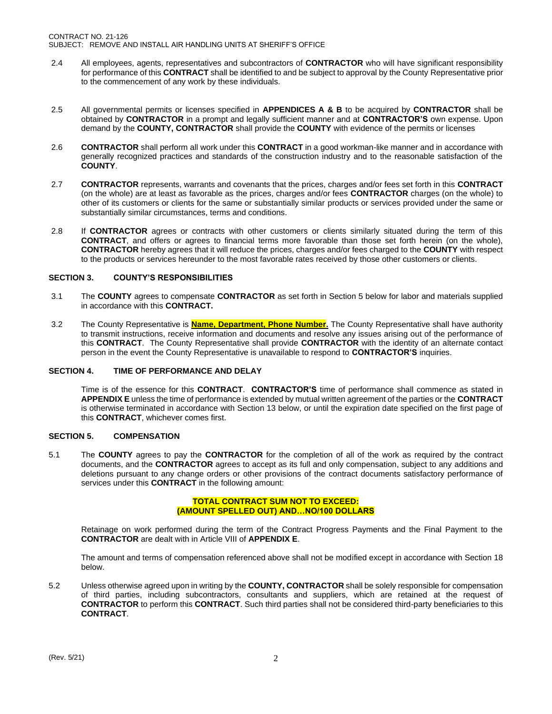- 2.4 All employees, agents, representatives and subcontractors of **CONTRACTOR** who will have significant responsibility for performance of this **CONTRACT** shall be identified to and be subject to approval by the County Representative prior to the commencement of any work by these individuals.
- 2.5 All governmental permits or licenses specified in **APPENDICES A & B** to be acquired by **CONTRACTOR** shall be obtained by **CONTRACTOR** in a prompt and legally sufficient manner and at **CONTRACTOR'S** own expense. Upon demand by the **COUNTY, CONTRACTOR** shall provide the **COUNTY** with evidence of the permits or licenses
- 2.6 **CONTRACTOR** shall perform all work under this **CONTRACT** in a good workman-like manner and in accordance with generally recognized practices and standards of the construction industry and to the reasonable satisfaction of the **COUNTY**.
- 2.7 **CONTRACTOR** represents, warrants and covenants that the prices, charges and/or fees set forth in this **CONTRACT** (on the whole) are at least as favorable as the prices, charges and/or fees **CONTRACTOR** charges (on the whole) to other of its customers or clients for the same or substantially similar products or services provided under the same or substantially similar circumstances, terms and conditions.
- 2.8 If **CONTRACTOR** agrees or contracts with other customers or clients similarly situated during the term of this **CONTRACT**, and offers or agrees to financial terms more favorable than those set forth herein (on the whole), **CONTRACTOR** hereby agrees that it will reduce the prices, charges and/or fees charged to the **COUNTY** with respect to the products or services hereunder to the most favorable rates received by those other customers or clients.

# **SECTION 3. COUNTY'S RESPONSIBILITIES**

- 3.1 The **COUNTY** agrees to compensate **CONTRACTOR** as set forth in Section 5 below for labor and materials supplied in accordance with this **CONTRACT.**
- 3.2 The County Representative is **Name, Department, Phone Number.** The County Representative shall have authority to transmit instructions, receive information and documents and resolve any issues arising out of the performance of this **CONTRACT**. The County Representative shall provide **CONTRACTOR** with the identity of an alternate contact person in the event the County Representative is unavailable to respond to **CONTRACTOR'S** inquiries.

# **SECTION 4. TIME OF PERFORMANCE AND DELAY**

Time is of the essence for this **CONTRACT**. **CONTRACTOR'S** time of performance shall commence as stated in **APPENDIX E** unless the time of performance is extended by mutual written agreement of the parties or the **CONTRACT** is otherwise terminated in accordance with Section 13 below, or until the expiration date specified on the first page of this **CONTRACT**, whichever comes first.

# **SECTION 5. COMPENSATION**

5.1 The **COUNTY** agrees to pay the **CONTRACTOR** for the completion of all of the work as required by the contract documents, and the **CONTRACTOR** agrees to accept as its full and only compensation, subject to any additions and deletions pursuant to any change orders or other provisions of the contract documents satisfactory performance of services under this **CONTRACT** in the following amount:

# **TOTAL CONTRACT SUM NOT TO EXCEED: (AMOUNT SPELLED OUT) AND…NO/100 DOLLARS**

Retainage on work performed during the term of the Contract Progress Payments and the Final Payment to the **CONTRACTOR** are dealt with in Article VIII of **APPENDIX E**.

The amount and terms of compensation referenced above shall not be modified except in accordance with Section 18 below.

5.2 Unless otherwise agreed upon in writing by the **COUNTY, CONTRACTOR** shall be solely responsible for compensation of third parties, including subcontractors, consultants and suppliers, which are retained at the request of **CONTRACTOR** to perform this **CONTRACT**. Such third parties shall not be considered third-party beneficiaries to this **CONTRACT**.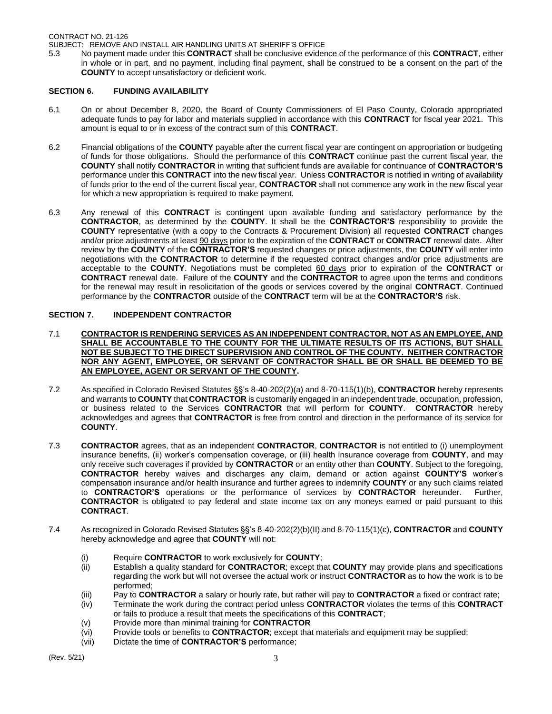SUBJECT: REMOVE AND INSTALL AIR HANDLING UNITS AT SHERIFF'S OFFICE

5.3 No payment made under this **CONTRACT** shall be conclusive evidence of the performance of this **CONTRACT**, either in whole or in part, and no payment, including final payment, shall be construed to be a consent on the part of the **COUNTY** to accept unsatisfactory or deficient work.

# **SECTION 6. FUNDING AVAILABILITY**

- 6.1 On or about December 8, 2020, the Board of County Commissioners of El Paso County, Colorado appropriated adequate funds to pay for labor and materials supplied in accordance with this **CONTRACT** for fiscal year 2021. This amount is equal to or in excess of the contract sum of this **CONTRACT**.
- 6.2 Financial obligations of the **COUNTY** payable after the current fiscal year are contingent on appropriation or budgeting of funds for those obligations. Should the performance of this **CONTRACT** continue past the current fiscal year, the **COUNTY** shall notify **CONTRACTOR** in writing that sufficient funds are available for continuance of **CONTRACTOR'S** performance under this **CONTRACT** into the new fiscal year. Unless **CONTRACTOR** is notified in writing of availability of funds prior to the end of the current fiscal year, **CONTRACTOR** shall not commence any work in the new fiscal year for which a new appropriation is required to make payment.
- 6.3 Any renewal of this **CONTRACT** is contingent upon available funding and satisfactory performance by the **CONTRACTOR**, as determined by the **COUNTY**. It shall be the **CONTRACTOR'S** responsibility to provide the **COUNTY** representative (with a copy to the Contracts & Procurement Division) all requested **CONTRACT** changes and/or price adjustments at least 90 days prior to the expiration of the **CONTRACT** or **CONTRACT** renewal date. After review by the **COUNTY** of the **CONTRACTOR'S** requested changes or price adjustments, the **COUNTY** will enter into negotiations with the **CONTRACTOR** to determine if the requested contract changes and/or price adjustments are acceptable to the **COUNTY**. Negotiations must be completed 60 days prior to expiration of the **CONTRACT** or **CONTRACT** renewal date. Failure of the **COUNTY** and the **CONTRACTOR** to agree upon the terms and conditions for the renewal may result in resolicitation of the goods or services covered by the original **CONTRACT**. Continued performance by the **CONTRACTOR** outside of the **CONTRACT** term will be at the **CONTRACTOR'S** risk.

# **SECTION 7. INDEPENDENT CONTRACTOR**

- 7.1 **CONTRACTOR IS RENDERING SERVICES AS AN INDEPENDENT CONTRACTOR, NOT AS AN EMPLOYEE, AND SHALL BE ACCOUNTABLE TO THE COUNTY FOR THE ULTIMATE RESULTS OF ITS ACTIONS, BUT SHALL NOT BE SUBJECT TO THE DIRECT SUPERVISION AND CONTROL OF THE COUNTY. NEITHER CONTRACTOR NOR ANY AGENT, EMPLOYEE, OR SERVANT OF CONTRACTOR SHALL BE OR SHALL BE DEEMED TO BE AN EMPLOYEE, AGENT OR SERVANT OF THE COUNTY.**
- 7.2 As specified in Colorado Revised Statutes §§'s 8-40-202(2)(a) and 8-70-115(1)(b), **CONTRACTOR** hereby represents and warrants to **COUNTY** that **CONTRACTOR** is customarily engaged in an independent trade, occupation, profession, or business related to the Services **CONTRACTOR** that will perform for **COUNTY**. **CONTRACTOR** hereby acknowledges and agrees that **CONTRACTOR** is free from control and direction in the performance of its service for **COUNTY**.
- 7.3 **CONTRACTOR** agrees, that as an independent **CONTRACTOR**, **CONTRACTOR** is not entitled to (i) unemployment insurance benefits, (ii) worker's compensation coverage, or (iii) health insurance coverage from **COUNTY**, and may only receive such coverages if provided by **CONTRACTOR** or an entity other than **COUNTY**. Subject to the foregoing, **CONTRACTOR** hereby waives and discharges any claim, demand or action against **COUNTY'S** worker's compensation insurance and/or health insurance and further agrees to indemnify **COUNTY** or any such claims related to **CONTRACTOR'S** operations or the performance of services by **CONTRACTOR** hereunder. Further, **CONTRACTOR** is obligated to pay federal and state income tax on any moneys earned or paid pursuant to this **CONTRACT**.
- 7.4 As recognized in Colorado Revised Statutes §§'s 8-40-202(2)(b)(II) and 8-70-115(1)(c), **CONTRACTOR** and **COUNTY** hereby acknowledge and agree that **COUNTY** will not:
	- (i) Require **CONTRACTOR** to work exclusively for **COUNTY**;
	- (ii) Establish a quality standard for **CONTRACTOR**; except that **COUNTY** may provide plans and specifications regarding the work but will not oversee the actual work or instruct **CONTRACTOR** as to how the work is to be performed;
	- (iii) Pay to **CONTRACTOR** a salary or hourly rate, but rather will pay to **CONTRACTOR** a fixed or contract rate;
	- (iv) Terminate the work during the contract period unless **CONTRACTOR** violates the terms of this **CONTRACT** or fails to produce a result that meets the specifications of this **CONTRACT**;
	- (v) Provide more than minimal training for **CONTRACTOR**
	- (vi) Provide tools or benefits to **CONTRACTOR**; except that materials and equipment may be supplied;
	- (vii) Dictate the time of **CONTRACTOR'S** performance;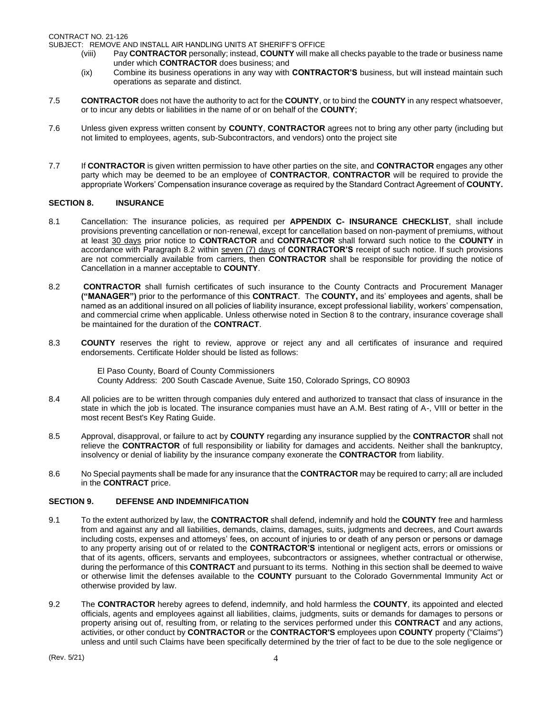SUBJECT: REMOVE AND INSTALL AIR HANDLING UNITS AT SHERIFF'S OFFICE

- (viii) Pay **CONTRACTOR** personally; instead, **COUNTY** will make all checks payable to the trade or business name under which **CONTRACTOR** does business; and
- (ix) Combine its business operations in any way with **CONTRACTOR'S** business, but will instead maintain such operations as separate and distinct.
- 7.5 **CONTRACTOR** does not have the authority to act for the **COUNTY**, or to bind the **COUNTY** in any respect whatsoever, or to incur any debts or liabilities in the name of or on behalf of the **COUNTY**;
- 7.6 Unless given express written consent by **COUNTY**, **CONTRACTOR** agrees not to bring any other party (including but not limited to employees, agents, sub-Subcontractors, and vendors) onto the project site
- 7.7 If **CONTRACTOR** is given written permission to have other parties on the site, and **CONTRACTOR** engages any other party which may be deemed to be an employee of **CONTRACTOR**, **CONTRACTOR** will be required to provide the appropriate Workers' Compensation insurance coverage as required by the Standard Contract Agreement of **COUNTY.**

# **SECTION 8. INSURANCE**

- 8.1 Cancellation: The insurance policies, as required per **APPENDIX C- INSURANCE CHECKLIST**, shall include provisions preventing cancellation or non-renewal, except for cancellation based on non-payment of premiums, without at least 30 days prior notice to **CONTRACTOR** and **CONTRACTOR** shall forward such notice to the **COUNTY** in accordance with Paragraph 8.2 within seven (7) days of **CONTRACTOR'S** receipt of such notice. If such provisions are not commercially available from carriers, then **CONTRACTOR** shall be responsible for providing the notice of Cancellation in a manner acceptable to **COUNTY**.
- 8.2 **CONTRACTOR** shall furnish certificates of such insurance to the County Contracts and Procurement Manager **("MANAGER")** prior to the performance of this **CONTRACT**. The **COUNTY,** and its' employees and agents, shall be named as an additional insured on all policies of liability insurance, except professional liability, workers' compensation, and commercial crime when applicable. Unless otherwise noted in Section 8 to the contrary, insurance coverage shall be maintained for the duration of the **CONTRACT**.
- 8.3 **COUNTY** reserves the right to review, approve or reject any and all certificates of insurance and required endorsements. Certificate Holder should be listed as follows:

El Paso County, Board of County Commissioners County Address: 200 South Cascade Avenue, Suite 150, Colorado Springs, CO 80903

- 8.4 All policies are to be written through companies duly entered and authorized to transact that class of insurance in the state in which the job is located. The insurance companies must have an A.M. Best rating of A-, VIII or better in the most recent Best's Key Rating Guide.
- 8.5 Approval, disapproval, or failure to act by **COUNTY** regarding any insurance supplied by the **CONTRACTOR** shall not relieve the **CONTRACTOR** of full responsibility or liability for damages and accidents. Neither shall the bankruptcy, insolvency or denial of liability by the insurance company exonerate the **CONTRACTOR** from liability.
- 8.6 No Special payments shall be made for any insurance that the **CONTRACTOR** may be required to carry; all are included in the **CONTRACT** price.

# **SECTION 9. DEFENSE AND INDEMNIFICATION**

- 9.1 To the extent authorized by law, the **CONTRACTOR** shall defend, indemnify and hold the **COUNTY** free and harmless from and against any and all liabilities, demands, claims, damages, suits, judgments and decrees, and Court awards including costs, expenses and attorneys' fees, on account of injuries to or death of any person or persons or damage to any property arising out of or related to the **CONTRACTOR'S** intentional or negligent acts, errors or omissions or that of its agents, officers, servants and employees, subcontractors or assignees, whether contractual or otherwise, during the performance of this **CONTRACT** and pursuant to its terms. Nothing in this section shall be deemed to waive or otherwise limit the defenses available to the **COUNTY** pursuant to the Colorado Governmental Immunity Act or otherwise provided by law.
- 9.2 The **CONTRACTOR** hereby agrees to defend, indemnify, and hold harmless the **COUNTY**, its appointed and elected officials, agents and employees against all liabilities, claims, judgments, suits or demands for damages to persons or property arising out of, resulting from, or relating to the services performed under this **CONTRACT** and any actions, activities, or other conduct by **CONTRACTOR** or the **CONTRACTOR'S** employees upon **COUNTY** property ("Claims") unless and until such Claims have been specifically determined by the trier of fact to be due to the sole negligence or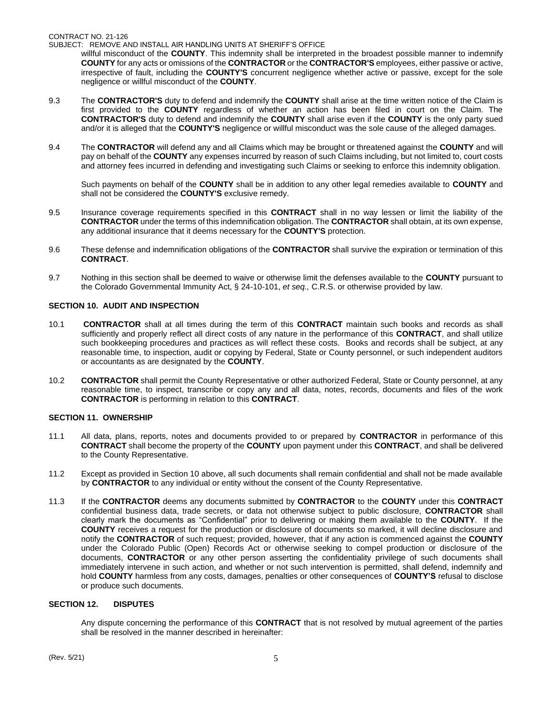SUBJECT: REMOVE AND INSTALL AIR HANDLING UNITS AT SHERIFF'S OFFICE

willful misconduct of the **COUNTY**. This indemnity shall be interpreted in the broadest possible manner to indemnify **COUNTY** for any acts or omissions of the **CONTRACTOR** or the **CONTRACTOR'S** employees, either passive or active, irrespective of fault, including the **COUNTY'S** concurrent negligence whether active or passive, except for the sole negligence or willful misconduct of the **COUNTY**.

- 9.3 The **CONTRACTOR'S** duty to defend and indemnify the **COUNTY** shall arise at the time written notice of the Claim is first provided to the **COUNTY** regardless of whether an action has been filed in court on the Claim. The **CONTRACTOR'S** duty to defend and indemnify the **COUNTY** shall arise even if the **COUNTY** is the only party sued and/or it is alleged that the **COUNTY'S** negligence or willful misconduct was the sole cause of the alleged damages.
- 9.4 The **CONTRACTOR** will defend any and all Claims which may be brought or threatened against the **COUNTY** and will pay on behalf of the **COUNTY** any expenses incurred by reason of such Claims including, but not limited to, court costs and attorney fees incurred in defending and investigating such Claims or seeking to enforce this indemnity obligation.

Such payments on behalf of the **COUNTY** shall be in addition to any other legal remedies available to **COUNTY** and shall not be considered the **COUNTY'S** exclusive remedy.

- 9.5 Insurance coverage requirements specified in this **CONTRACT** shall in no way lessen or limit the liability of the **CONTRACTOR** under the terms of this indemnification obligation. The **CONTRACTOR** shall obtain, at its own expense, any additional insurance that it deems necessary for the **COUNTY'S** protection.
- 9.6 These defense and indemnification obligations of the **CONTRACTOR** shall survive the expiration or termination of this **CONTRACT**.
- 9.7 Nothing in this section shall be deemed to waive or otherwise limit the defenses available to the **COUNTY** pursuant to the Colorado Governmental Immunity Act, § 24-10-101, *et seq.,* C.R.S. or otherwise provided by law.

# **SECTION 10. AUDIT AND INSPECTION**

- 10.1 **CONTRACTOR** shall at all times during the term of this **CONTRACT** maintain such books and records as shall sufficiently and properly reflect all direct costs of any nature in the performance of this **CONTRACT**, and shall utilize such bookkeeping procedures and practices as will reflect these costs. Books and records shall be subject, at any reasonable time, to inspection, audit or copying by Federal, State or County personnel, or such independent auditors or accountants as are designated by the **COUNTY**.
- 10.2 **CONTRACTOR** shall permit the County Representative or other authorized Federal, State or County personnel, at any reasonable time, to inspect, transcribe or copy any and all data, notes, records, documents and files of the work **CONTRACTOR** is performing in relation to this **CONTRACT**.

# **SECTION 11. OWNERSHIP**

- 11.1 All data, plans, reports, notes and documents provided to or prepared by **CONTRACTOR** in performance of this **CONTRACT** shall become the property of the **COUNTY** upon payment under this **CONTRACT**, and shall be delivered to the County Representative.
- 11.2 Except as provided in Section 10 above, all such documents shall remain confidential and shall not be made available by **CONTRACTOR** to any individual or entity without the consent of the County Representative.
- 11.3 If the **CONTRACTOR** deems any documents submitted by **CONTRACTOR** to the **COUNTY** under this **CONTRACT**  confidential business data, trade secrets, or data not otherwise subject to public disclosure, **CONTRACTOR** shall clearly mark the documents as "Confidential" prior to delivering or making them available to the **COUNTY**. If the **COUNTY** receives a request for the production or disclosure of documents so marked, it will decline disclosure and notify the **CONTRACTOR** of such request; provided, however*,* that if any action is commenced against the **COUNTY**  under the Colorado Public (Open) Records Act or otherwise seeking to compel production or disclosure of the documents, **CONTRACTOR** or any other person asserting the confidentiality privilege of such documents shall immediately intervene in such action, and whether or not such intervention is permitted, shall defend, indemnify and hold **COUNTY** harmless from any costs, damages, penalties or other consequences of **COUNTY'S** refusal to disclose or produce such documents.

# **SECTION 12. DISPUTES**

Any dispute concerning the performance of this **CONTRACT** that is not resolved by mutual agreement of the parties shall be resolved in the manner described in hereinafter: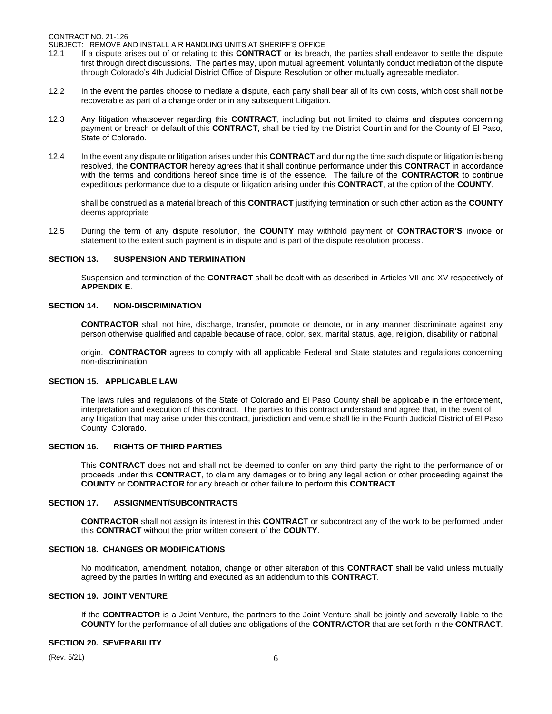CONTRACT NO. 21-126

SUBJECT: REMOVE AND INSTALL AIR HANDLING UNITS AT SHERIFF'S OFFICE

- 12.1 If a dispute arises out of or relating to this **CONTRACT** or its breach, the parties shall endeavor to settle the dispute first through direct discussions. The parties may, upon mutual agreement, voluntarily conduct mediation of the dispute through Colorado's 4th Judicial District Office of Dispute Resolution or other mutually agreeable mediator.
- 12.2 In the event the parties choose to mediate a dispute, each party shall bear all of its own costs, which cost shall not be recoverable as part of a change order or in any subsequent Litigation.
- 12.3 Any litigation whatsoever regarding this **CONTRACT**, including but not limited to claims and disputes concerning payment or breach or default of this **CONTRACT**, shall be tried by the District Court in and for the County of El Paso, State of Colorado.
- 12.4 In the event any dispute or litigation arises under this **CONTRACT** and during the time such dispute or litigation is being resolved, the **CONTRACTOR** hereby agrees that it shall continue performance under this **CONTRACT** in accordance with the terms and conditions hereof since time is of the essence. The failure of the **CONTRACTOR** to continue expeditious performance due to a dispute or litigation arising under this **CONTRACT**, at the option of the **COUNTY**,

shall be construed as a material breach of this **CONTRACT** justifying termination or such other action as the **COUNTY** deems appropriate

12.5 During the term of any dispute resolution, the **COUNTY** may withhold payment of **CONTRACTOR'S** invoice or statement to the extent such payment is in dispute and is part of the dispute resolution process.

#### **SECTION 13. SUSPENSION AND TERMINATION**

Suspension and termination of the **CONTRACT** shall be dealt with as described in Articles VII and XV respectively of **APPENDIX E**.

#### **SECTION 14. NON-DISCRIMINATION**

**CONTRACTOR** shall not hire, discharge, transfer, promote or demote, or in any manner discriminate against any person otherwise qualified and capable because of race, color, sex, marital status, age, religion, disability or national

origin. **CONTRACTOR** agrees to comply with all applicable Federal and State statutes and regulations concerning non-discrimination.

#### **SECTION 15. APPLICABLE LAW**

The laws rules and regulations of the State of Colorado and El Paso County shall be applicable in the enforcement, interpretation and execution of this contract. The parties to this contract understand and agree that, in the event of any litigation that may arise under this contract, jurisdiction and venue shall lie in the Fourth Judicial District of El Paso County, Colorado.

# **SECTION 16. RIGHTS OF THIRD PARTIES**

This **CONTRACT** does not and shall not be deemed to confer on any third party the right to the performance of or proceeds under this **CONTRACT**, to claim any damages or to bring any legal action or other proceeding against the **COUNTY** or **CONTRACTOR** for any breach or other failure to perform this **CONTRACT**.

# **SECTION 17. ASSIGNMENT/SUBCONTRACTS**

**CONTRACTOR** shall not assign its interest in this **CONTRACT** or subcontract any of the work to be performed under this **CONTRACT** without the prior written consent of the **COUNTY**.

#### **SECTION 18. CHANGES OR MODIFICATIONS**

No modification, amendment, notation, change or other alteration of this **CONTRACT** shall be valid unless mutually agreed by the parties in writing and executed as an addendum to this **CONTRACT**.

# **SECTION 19. JOINT VENTURE**

If the **CONTRACTOR** is a Joint Venture, the partners to the Joint Venture shall be jointly and severally liable to the **COUNTY** for the performance of all duties and obligations of the **CONTRACTOR** that are set forth in the **CONTRACT**.

#### **SECTION 20. SEVERABILITY**

(Rev. 5/21)  $6 \frac{1}{2}$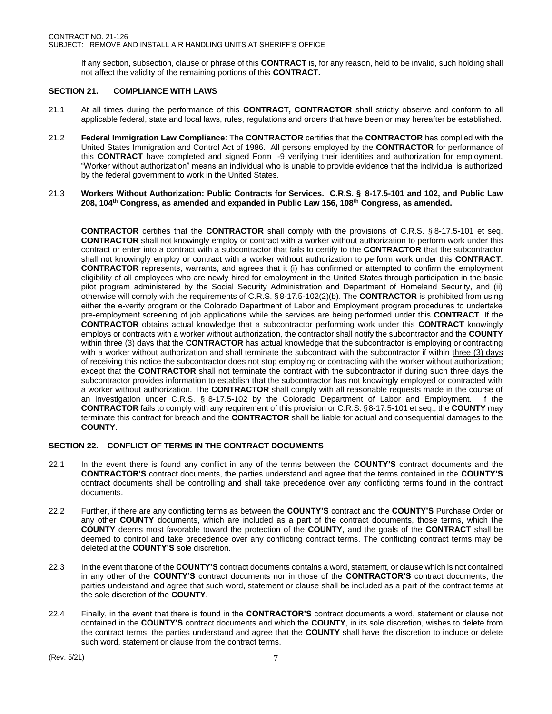If any section, subsection, clause or phrase of this **CONTRACT** is, for any reason, held to be invalid, such holding shall not affect the validity of the remaining portions of this **CONTRACT.**

# **SECTION 21. COMPLIANCE WITH LAWS**

- 21.1 At all times during the performance of this **CONTRACT, CONTRACTOR** shall strictly observe and conform to all applicable federal, state and local laws, rules, regulations and orders that have been or may hereafter be established.
- 21.2 **Federal Immigration Law Compliance**: The **CONTRACTOR** certifies that the **CONTRACTOR** has complied with the United States Immigration and Control Act of 1986. All persons employed by the **CONTRACTOR** for performance of this **CONTRACT** have completed and signed Form I-9 verifying their identities and authorization for employment. "Worker without authorization" means an individual who is unable to provide evidence that the individual is authorized by the federal government to work in the United States.
- 21.3 **Workers Without Authorization: Public Contracts for Services. C.R.S. § 8-17.5-101 and 102, and Public Law 208, 104th Congress, as amended and expanded in Public Law 156, 108th Congress, as amended.**

**CONTRACTOR** certifies that the **CONTRACTOR** shall comply with the provisions of C.R.S. § 8-17.5-101 et seq. **CONTRACTOR** shall not knowingly employ or contract with a worker without authorization to perform work under this contract or enter into a contract with a subcontractor that fails to certify to the **CONTRACTOR** that the subcontractor shall not knowingly employ or contract with a worker without authorization to perform work under this **CONTRACT**. **CONTRACTOR** represents, warrants, and agrees that it (i) has confirmed or attempted to confirm the employment eligibility of all employees who are newly hired for employment in the United States through participation in the basic pilot program administered by the Social Security Administration and Department of Homeland Security, and (ii) otherwise will comply with the requirements of C.R.S. §8-17.5-102(2)(b). The **CONTRACTOR** is prohibited from using either the e-verify program or the Colorado Department of Labor and Employment program procedures to undertake pre-employment screening of job applications while the services are being performed under this **CONTRACT**. If the **CONTRACTOR** obtains actual knowledge that a subcontractor performing work under this **CONTRACT** knowingly employs or contracts with a worker without authorization, the contractor shall notify the subcontractor and the **COUNTY** within three (3) days that the **CONTRACTOR** has actual knowledge that the subcontractor is employing or contracting with a worker without authorization and shall terminate the subcontract with the subcontractor if within three (3) days of receiving this notice the subcontractor does not stop employing or contracting with the worker without authorization; except that the **CONTRACTOR** shall not terminate the contract with the subcontractor if during such three days the subcontractor provides information to establish that the subcontractor has not knowingly employed or contracted with a worker without authorization. The **CONTRACTOR** shall comply with all reasonable requests made in the course of an investigation under C.R.S. § 8-17.5-102 by the Colorado Department of Labor and Employment. If the **CONTRACTOR** fails to comply with any requirement of this provision or C.R.S. §8-17.5-101 et seq., the **COUNTY** may terminate this contract for breach and the **CONTRACTOR** shall be liable for actual and consequential damages to the **COUNTY**.

# **SECTION 22. CONFLICT OF TERMS IN THE CONTRACT DOCUMENTS**

- 22.1 In the event there is found any conflict in any of the terms between the **COUNTY'S** contract documents and the **CONTRACTOR'S** contract documents, the parties understand and agree that the terms contained in the **COUNTY'S** contract documents shall be controlling and shall take precedence over any conflicting terms found in the contract documents.
- 22.2 Further, if there are any conflicting terms as between the **COUNTY'S** contract and the **COUNTY'S** Purchase Order or any other **COUNTY** documents, which are included as a part of the contract documents, those terms, which the **COUNTY** deems most favorable toward the protection of the **COUNTY**, and the goals of the **CONTRACT** shall be deemed to control and take precedence over any conflicting contract terms. The conflicting contract terms may be deleted at the **COUNTY'S** sole discretion.
- 22.3 In the event that one of the **COUNTY'S** contract documents contains a word, statement, or clause which is not contained in any other of the **COUNTY'S** contract documents nor in those of the **CONTRACTOR'S** contract documents, the parties understand and agree that such word, statement or clause shall be included as a part of the contract terms at the sole discretion of the **COUNTY**.
- 22.4 Finally, in the event that there is found in the **CONTRACTOR'S** contract documents a word, statement or clause not contained in the **COUNTY'S** contract documents and which the **COUNTY**, in its sole discretion, wishes to delete from the contract terms, the parties understand and agree that the **COUNTY** shall have the discretion to include or delete such word, statement or clause from the contract terms.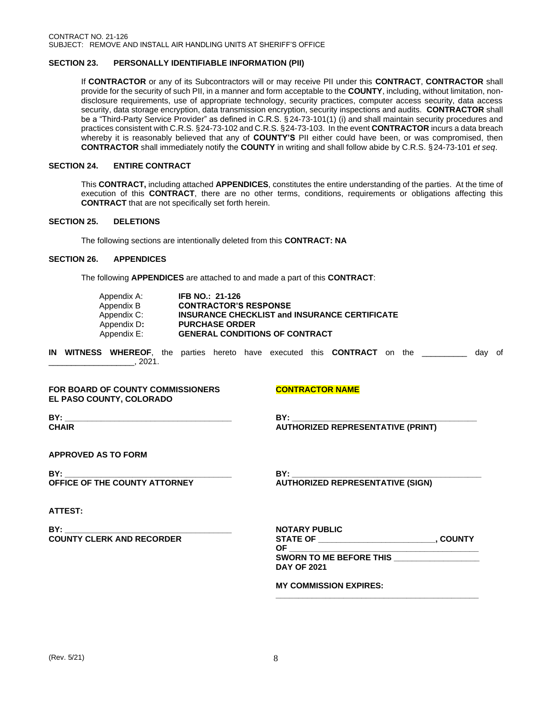## **SECTION 23. PERSONALLY IDENTIFIABLE INFORMATION (PII)**

If **CONTRACTOR** or any of its Subcontractors will or may receive PII under this **CONTRACT**, **CONTRACTOR** shall provide for the security of such PII, in a manner and form acceptable to the **COUNTY**, including, without limitation, nondisclosure requirements, use of appropriate technology, security practices, computer access security, data access security, data storage encryption, data transmission encryption, security inspections and audits. **CONTRACTOR** shall be a "Third-Party Service Provider" as defined in C.R.S. §24-73-101(1) (i) and shall maintain security procedures and practices consistent with C.R.S. §24-73-102 and C.R.S. §24-73-103. In the event **CONTRACTOR** incurs a data breach whereby it is reasonably believed that any of **COUNTY'S** PII either could have been, or was compromised, then **CONTRACTOR** shall immediately notify the **COUNTY** in writing and shall follow abide by C.R.S. § 24-73-101 *et seq*.

## **SECTION 24. ENTIRE CONTRACT**

This **CONTRACT,** including attached **APPENDICES**, constitutes the entire understanding of the parties. At the time of execution of this **CONTRACT**, there are no other terms, conditions, requirements or obligations affecting this **CONTRACT** that are not specifically set forth herein.

#### **SECTION 25. DELETIONS**

The following sections are intentionally deleted from this **CONTRACT: NA**

#### **SECTION 26. APPENDICES**

The following **APPENDICES** are attached to and made a part of this **CONTRACT**:

| Appendix A: | <b>IFB NO.: 21-126</b>                               |
|-------------|------------------------------------------------------|
| Appendix B  | <b>CONTRACTOR'S RESPONSE</b>                         |
| Appendix C: | <b>INSURANCE CHECKLIST and INSURANCE CERTIFICATE</b> |
| Appendix D: | <b>PURCHASE ORDER</b>                                |
| Appendix E: | <b>GENERAL CONDITIONS OF CONTRACT</b>                |

**IN WITNESS WHEREOF**, the parties hereto have executed this **CONTRACT** on the \_\_\_\_\_\_\_\_\_\_ day of  $\frac{1}{2021}$ .

#### **FOR BOARD OF COUNTY COMMISSIONERS CONTRACTOR NAME EL PASO COUNTY, COLORADO**

**BY: \_\_\_\_\_\_\_\_\_\_\_\_\_\_\_\_\_\_\_\_\_\_\_\_\_\_\_\_\_\_\_\_\_\_\_\_\_ BY: \_\_\_\_\_\_\_\_\_\_\_\_\_\_\_\_\_\_\_\_\_\_\_\_\_\_\_\_\_\_\_\_\_\_\_\_\_\_\_\_\_ CHAIR AUTHORIZED REPRESENTATIVE (PRINT)**

**APPROVED AS TO FORM**

**BY: \_\_\_\_\_\_\_\_\_\_\_\_\_\_\_\_\_\_\_\_\_\_\_\_\_\_\_\_\_\_\_\_\_\_\_\_\_ BY: \_\_\_\_\_\_\_\_\_\_\_\_\_\_\_\_\_\_\_\_\_\_\_\_\_\_\_\_\_\_\_\_\_\_\_\_\_\_\_\_\_\_ OFFICE OF THE COUNTY ATTORNEY AUTHORIZED REPRESENTATIVE (SIGN)**

# **ATTEST:**

**BY: \_\_\_\_\_\_\_\_\_\_\_\_\_\_\_\_\_\_\_\_\_\_\_\_\_\_\_\_\_\_\_\_\_\_\_\_\_ NOTARY PUBLIC**

**COUNTY CLERK AND RECORDER STATE OF \_\_\_\_\_\_\_\_\_\_\_\_\_\_\_\_\_\_\_\_\_\_\_\_\_\_, COUNTY OF \_\_\_\_\_\_\_\_\_\_\_\_\_\_\_\_\_\_\_\_\_\_\_\_\_\_\_\_\_\_\_\_\_\_\_\_\_\_\_\_\_\_ SWORN TO ME BEFORE THIS \_\_\_\_\_\_\_\_\_\_\_\_\_\_\_\_\_\_\_ DAY OF 2021**

**\_\_\_\_\_\_\_\_\_\_\_\_\_\_\_\_\_\_\_\_\_\_\_\_\_\_\_\_\_\_\_\_\_\_\_\_\_\_\_\_\_\_\_\_\_**

**MY COMMISSION EXPIRES:**